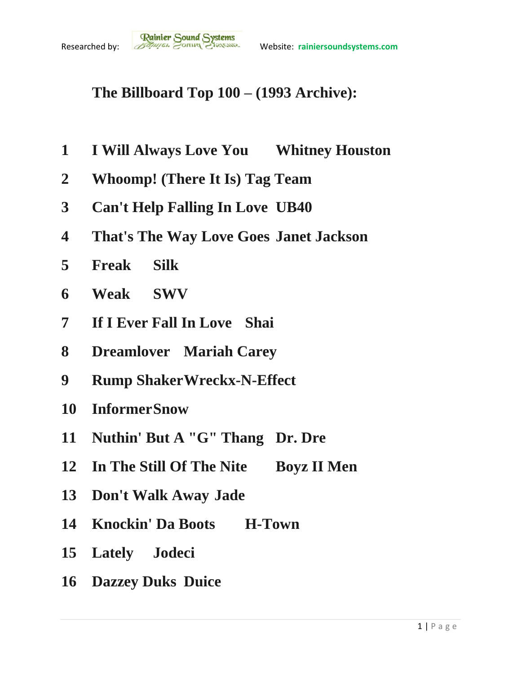## **The Billboard Top 100 – (1993 Archive):**

- **I Will Always Love You Whitney Houston**
- **Whoomp! (There It Is) Tag Team**
- **Can't Help Falling In Love UB40**
- **That's The Way Love Goes Janet Jackson**
- **Freak Silk**
- **Weak SWV**
- **If I Ever Fall In Love Shai**
- **Dreamlover Mariah Carey**
- **Rump ShakerWreckx-N-Effect**
- **InformerSnow**
- **Nuthin' But A "G" Thang Dr. Dre**
- **In The Still Of The Nite Boyz II Men**
- **Don't Walk Away Jade**
- **Knockin' Da Boots H-Town**
- **Lately Jodeci**
- **Dazzey Duks Duice**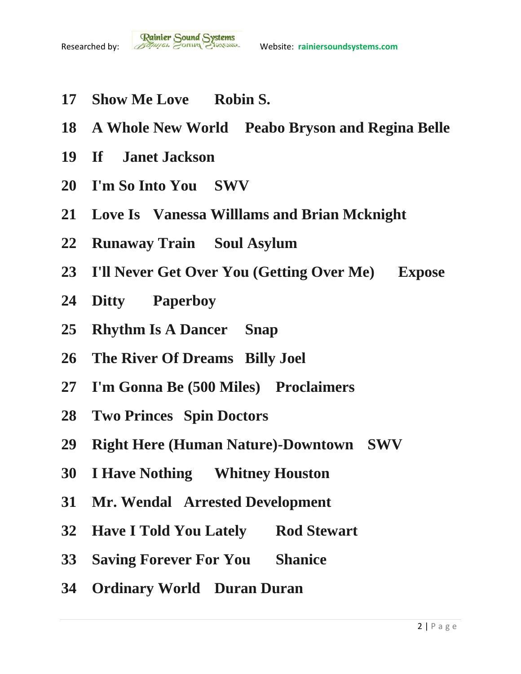- **Show Me Love Robin S.**
- **A Whole New World Peabo Bryson and Regina Belle**
- **If Janet Jackson**
- **I'm So Into You SWV**
- **Love Is Vanessa Willlams and Brian Mcknight**
- **Runaway Train Soul Asylum**
- **I'll Never Get Over You (Getting Over Me) Expose**
- **Ditty Paperboy**
- **Rhythm Is A Dancer Snap**
- **The River Of Dreams Billy Joel**
- **I'm Gonna Be (500 Miles) Proclaimers**
- **Two Princes Spin Doctors**
- **Right Here (Human Nature)-Downtown SWV**
- **I Have Nothing Whitney Houston**
- **Mr. Wendal Arrested Development**
- **Have I Told You Lately Rod Stewart**
- **Saving Forever For You Shanice**
- **Ordinary World Duran Duran**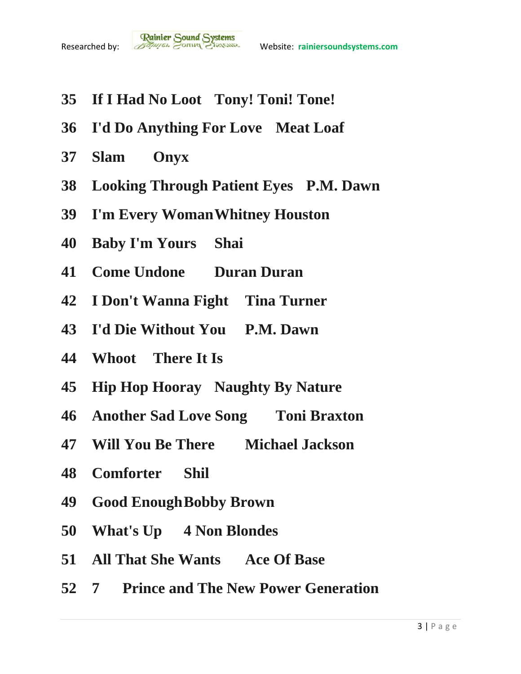- **If I Had No Loot Tony! Toni! Tone!**
- **I'd Do Anything For Love Meat Loaf**
- **Slam Onyx**
- **Looking Through Patient Eyes P.M. Dawn**
- **I'm Every WomanWhitney Houston**
- **Baby I'm Yours Shai**
- **Come Undone Duran Duran**
- **I Don't Wanna Fight Tina Turner**
- **I'd Die Without You P.M. Dawn**
- **Whoot There It Is**
- **Hip Hop Hooray Naughty By Nature**
- **Another Sad Love Song Toni Braxton**
- **Will You Be There Michael Jackson**
- **Comforter Shil**
- **Good EnoughBobby Brown**
- **What's Up 4 Non Blondes**
- **All That She Wants Ace Of Base**
- **7 Prince and The New Power Generation**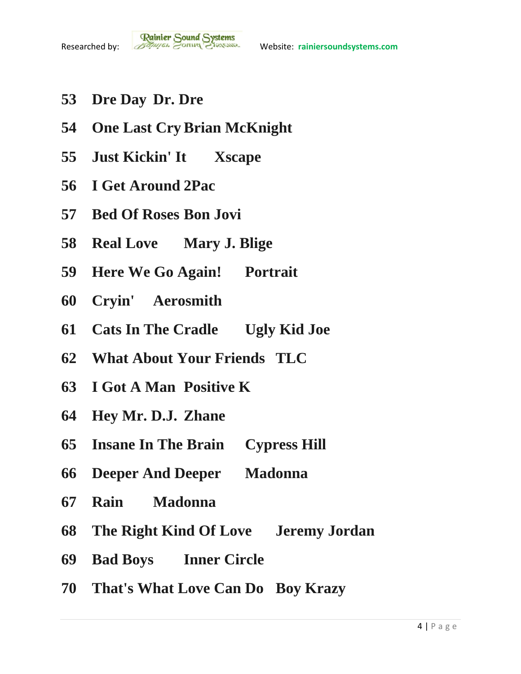- **Dre Day Dr. Dre**
- **One Last Cry Brian McKnight**
- **Just Kickin' It Xscape**
- **I Get Around 2Pac**
- **Bed Of Roses Bon Jovi**
- **Real Love Mary J. Blige**
- **Here We Go Again! Portrait**
- **Cryin' Aerosmith**
- **Cats In The Cradle Ugly Kid Joe**
- **What About Your Friends TLC**
- **I Got A Man Positive K**
- **Hey Mr. D.J. Zhane**
- **Insane In The Brain Cypress Hill**
- **Deeper And Deeper Madonna**
- **Rain Madonna**
- **The Right Kind Of Love Jeremy Jordan**
- **Bad Boys Inner Circle**
- **That's What Love Can Do Boy Krazy**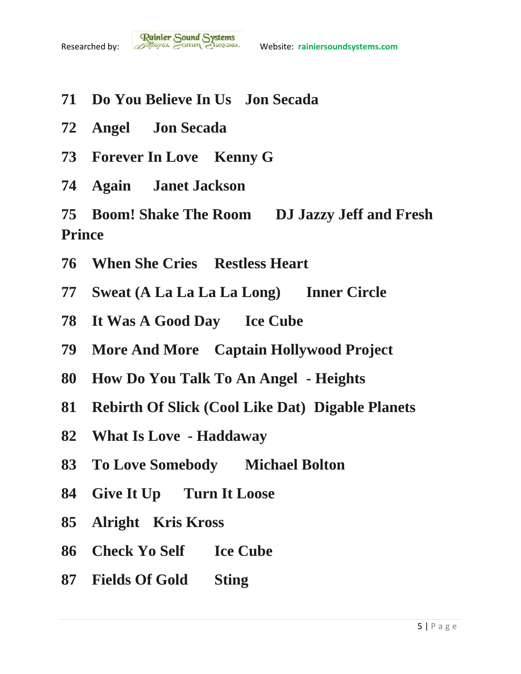

- **Do You Believe In Us Jon Secada**
- **Angel Jon Secada**
- **Forever In Love Kenny G**
- **Again Janet Jackson**

 **Boom! Shake The Room DJ Jazzy Jeff and Fresh Prince**

- **When She Cries Restless Heart**
- **Sweat (A La La La La Long) Inner Circle**
- **It Was A Good Day Ice Cube**
- **More And More Captain Hollywood Project**
- **How Do You Talk To An Angel - Heights**
- **Rebirth Of Slick (Cool Like Dat) Digable Planets**
- **What Is Love - Haddaway**
- **To Love Somebody Michael Bolton**
- **Give It Up Turn It Loose**
- **Alright Kris Kross**
- **Check Yo Self Ice Cube**
- **Fields Of Gold Sting**